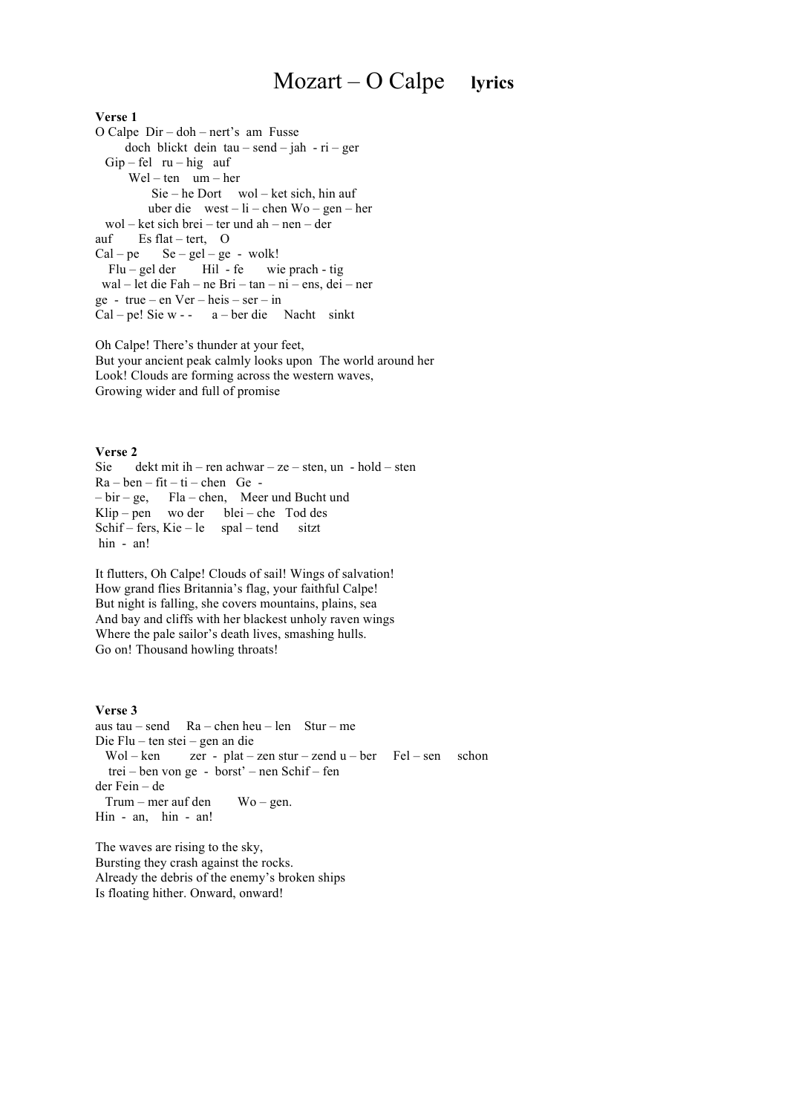#### $Mozart – O Calpe$ lyrics

## Verse 1

O Calpe  $Dir -$ doh - nert's am Fusse doch blickt dein  $tau-send - jah - ri-ger$  $Gip - fel$  ru - hig auf  $Wel - ten$  um  $- her$  $\text{Sie} - \text{he}$  Dort wol – ket sich, hin auf uber die  $west - li - chem Wo - gen - her$ wol - ket sich brei - ter und ah - nen - der auf Es flat – tert, O  $Se - gel - ge - walk!$  $Cal - pe$  $Flu - gel der$ Hil - fe wie prach - tig wal – let die Fah – ne Bri – tan – ni – ens. dei – ner  $ge - true - en Ver - heis - ser - in$  $Cal - pel$  Sie w - -  $a - ber$  die Nacht sinkt

Oh Calpe! There's thunder at your feet. But your ancient peak calmly looks upon The world around her Look! Clouds are forming across the western waves, Growing wider and full of promise

Verse 2 Sie dekt mit ih – ren achwar – ze – sten, un – hold – sten  $Ra - ben - fit - ti - chem$  Ge - $-bir - ge$ Fla – chen, Meer und Bucht und Klip – pen wo der blei – che Tod des Schif – fers, Kie – le spal – tend sitzt hin - an!

It flutters, Oh Calpe! Clouds of sail! Wings of salvation! How grand flies Britannia's flag, your faithful Calpe! But night is falling, she covers mountains, plains, sea And bay and cliffs with her blackest unholy raven wings Where the pale sailor's death lives, smashing hulls. Go on! Thousand howling throats!

### Verse 3

```
aus tau – send Ra – chen heu – len Stur – me
Die Flu – ten stei – gen an die
 Wol - ken zer - plat – zen stur – zend u – ber Fel – sen
                                                               schon
  trei – ben von ge - borst' – nen Schif – fen
der Fein - de
 Trum – mer auf den
                        Wo - gen.Hin - an, hin - an!
```
The waves are rising to the sky, Bursting they crash against the rocks. Already the debris of the enemy's broken ships Is floating hither. Onward, onward!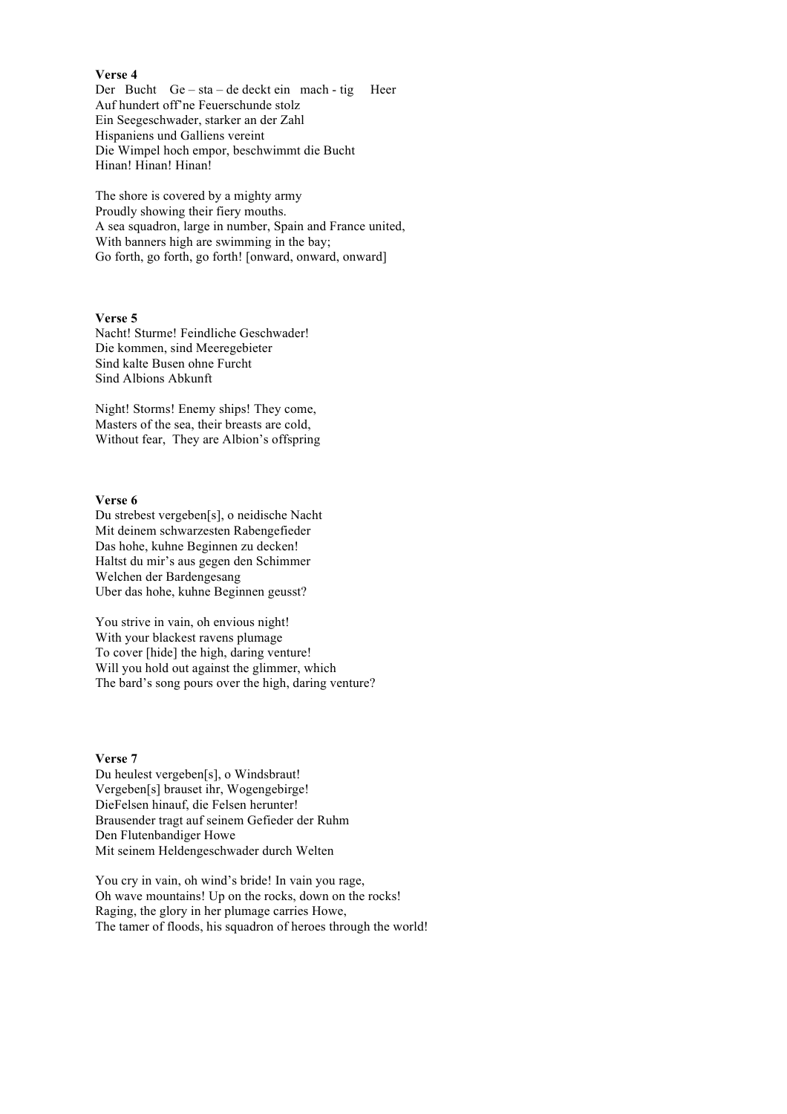### **Verse 4**

Der Bucht Ge – sta – de deckt ein mach - tig Heer Auf hundert off'ne Feuerschunde stolz Ein Seegeschwader, starker an der Zahl Hispaniens und Galliens vereint Die Wimpel hoch empor, beschwimmt die Bucht Hinan! Hinan! Hinan!

The shore is covered by a mighty army Proudly showing their fiery mouths. A sea squadron, large in number, Spain and France united, With banners high are swimming in the bay; Go forth, go forth, go forth! [onward, onward, onward]

## **Verse 5**

Nacht! Sturme! Feindliche Geschwader! Die kommen, sind Meeregebieter Sind kalte Busen ohne Furcht Sind Albions Abkunft

Night! Storms! Enemy ships! They come, Masters of the sea, their breasts are cold, Without fear, They are Albion's offspring

### **Verse 6**

Du strebest vergeben[s], o neidische Nacht Mit deinem schwarzesten Rabengefieder Das hohe, kuhne Beginnen zu decken! Haltst du mir's aus gegen den Schimmer Welchen der Bardengesang Uber das hohe, kuhne Beginnen geusst?

You strive in vain, oh envious night! With your blackest ravens plumage To cover [hide] the high, daring venture! Will you hold out against the glimmer, which The bard's song pours over the high, daring venture?

# **Verse 7**

Du heulest vergeben[s], o Windsbraut! Vergeben[s] brauset ihr, Wogengebirge! DieFelsen hinauf, die Felsen herunter! Brausender tragt auf seinem Gefieder der Ruhm Den Flutenbandiger Howe Mit seinem Heldengeschwader durch Welten

You cry in vain, oh wind's bride! In vain you rage, Oh wave mountains! Up on the rocks, down on the rocks! Raging, the glory in her plumage carries Howe, The tamer of floods, his squadron of heroes through the world!